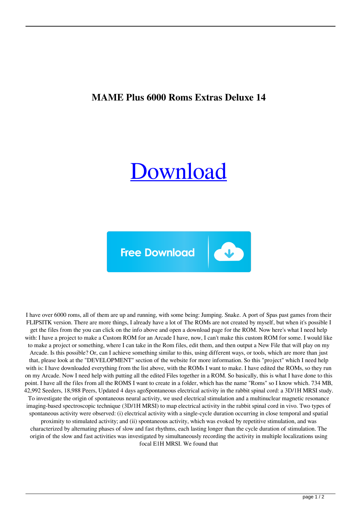## **MAME Plus 6000 Roms Extras Deluxe 14**

## [Download](http://evacdir.com/flexible/?inebriated=grassroots&TUFNRSBQbHVzIDYwMDAgUm9tcyBFeHRyYXMgRGVsdXhlIDE0TUF=ZG93bmxvYWR8dnE1WVhGc2ZId3hOalV5TnpRd09EWTJmSHd5TlRjMGZId29UU2tnY21WaFpDMWliRzluSUZ0R1lYTjBJRWRGVGww&kaftan=pasteurizing&sluggishly=)

**Free Download** 

 $\downarrow$ 

I have over 6000 roms, all of them are up and running, with some being: Jumping. Snake. A port of Spas past games from their FLIPSITK version. There are more things, I already have a lot of The ROMs are not created by myself, but when it's possible I get the files from the you can click on the info above and open a download page for the ROM. Now here's what I need help with: I have a project to make a Custom ROM for an Arcade I have, now, I can't make this custom ROM for some. I would like to make a project or something, where I can take in the Rom files, edit them, and then output a New File that will play on my Arcade. Is this possible? Or, can I achieve something similar to this, using different ways, or tools, which are more than just that, please look at the "DEVELOPMENT" section of the website for more information. So this "project" which I need help with is: I have downloaded everything from the list above, with the ROMs I want to make. I have edited the ROMs, so they run on my Arcade. Now I need help with putting all the edited Files together in a ROM. So basically, this is what I have done to this point. I have all the files from all the ROMS I want to create in a folder, which has the name "Roms" so I know which. 734 MB, 42,992 Seeders, 18,988 Peers, Updated 4 days agoSpontaneous electrical activity in the rabbit spinal cord: a 3D/1H MRSI study. To investigate the origin of spontaneous neural activity, we used electrical stimulation and a multinuclear magnetic resonance imaging-based spectroscopic technique (3D/1H MRSI) to map electrical activity in the rabbit spinal cord in vivo. Two types of spontaneous activity were observed: (i) electrical activity with a single-cycle duration occurring in close temporal and spatial proximity to stimulated activity; and (ii) spontaneous activity, which was evoked by repetitive stimulation, and was characterized by alternating phases of slow and fast rhythms, each lasting longer than the cycle duration of stimulation. The origin of the slow and fast activities was investigated by simultaneously recording the activity in multiple localizations using focal E1H MRSI. We found that